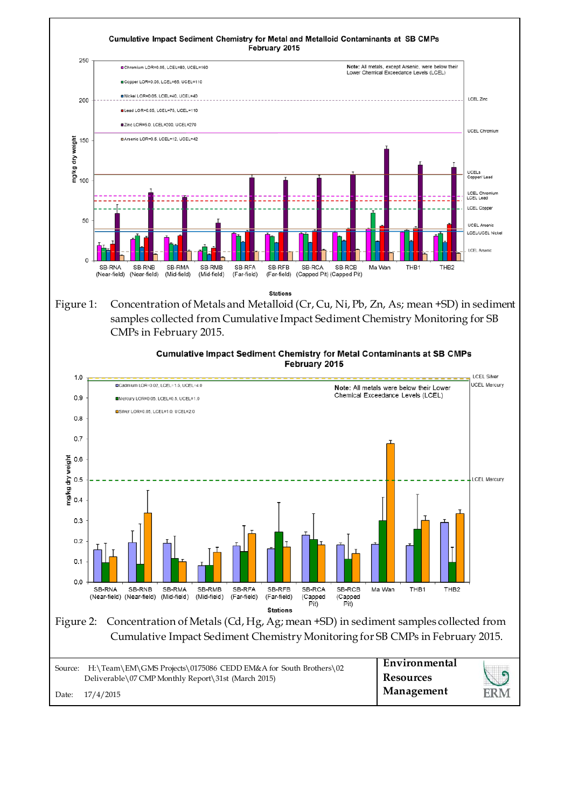

|       | Source: H:\Team\EM\GMS Projects\0175086 CEDD EM&A for South Brothers\02 | Environmental |     |
|-------|-------------------------------------------------------------------------|---------------|-----|
|       | Deliverable\07 CMP Monthly Report\31st (March 2015)                     | Resources     |     |
| Date: | 17/4/2015                                                               | Management    | ERM |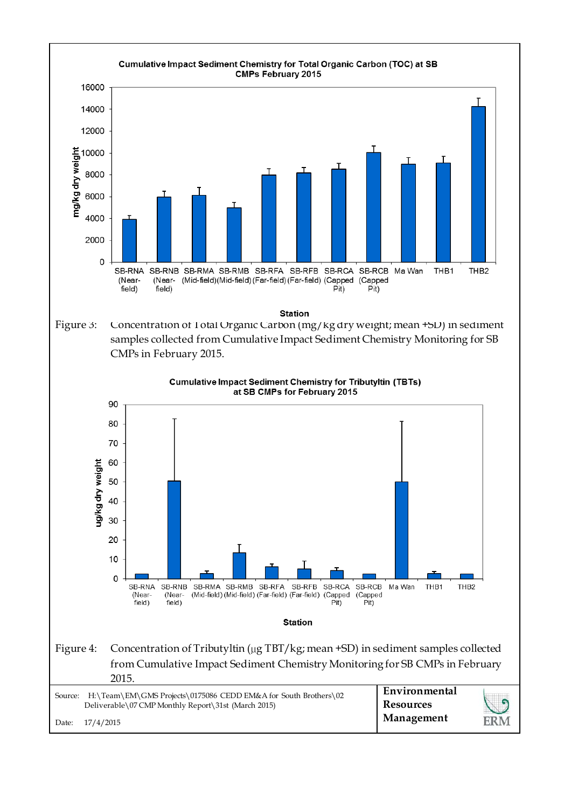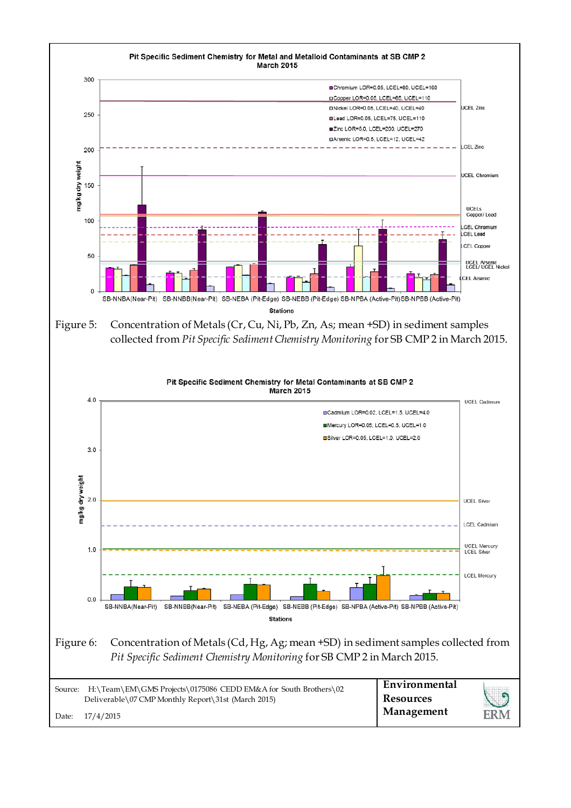